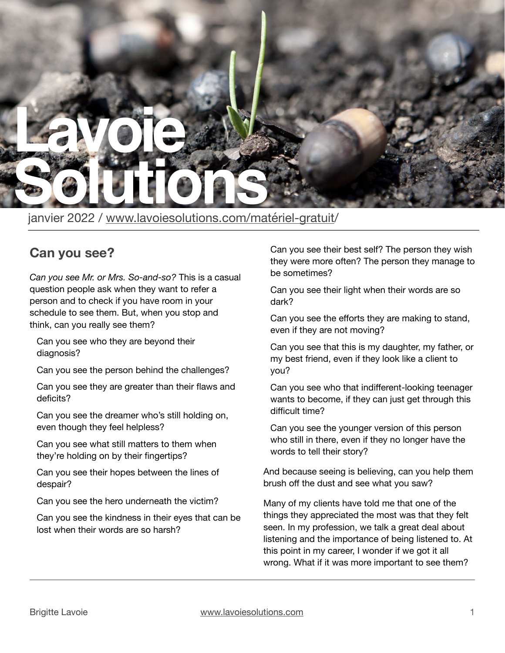

janvier 2022 / [www.lavoiesolutions.com/matériel-gratuit/](http://www.lavoiesolutions.com/mat%C3%A9riel-gratuit)

## **Can you see?**

*Can you see Mr. or Mrs. So-and-so?* This is a casual question people ask when they want to refer a person and to check if you have room in your schedule to see them. But, when you stop and think, can you really see them?

Can you see who they are beyond their diagnosis?

Can you see the person behind the challenges?

Can you see they are greater than their flaws and deficits?

Can you see the dreamer who's still holding on, even though they feel helpless?

Can you see what still matters to them when they're holding on by their fingertips?

Can you see their hopes between the lines of despair?

Can you see the hero underneath the victim?

Can you see the kindness in their eyes that can be lost when their words are so harsh?

Can you see their best self? The person they wish they were more often? The person they manage to be sometimes?

Can you see their light when their words are so dark?

Can you see the efforts they are making to stand, even if they are not moving?

Can you see that this is my daughter, my father, or my best friend, even if they look like a client to you?

Can you see who that indifferent-looking teenager wants to become, if they can just get through this difficult time?

Can you see the younger version of this person who still in there, even if they no longer have the words to tell their story?

And because seeing is believing, can you help them brush off the dust and see what you saw?

Many of my clients have told me that one of the things they appreciated the most was that they felt seen. In my profession, we talk a great deal about listening and the importance of being listened to. At this point in my career, I wonder if we got it all wrong. What if it was more important to see them?